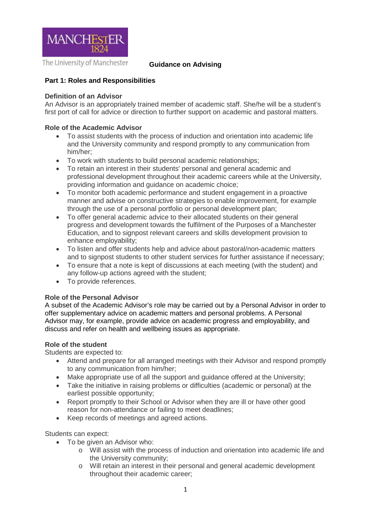

The University of Manchester

**Guidance on Advising**

# **Part 1: Roles and Responsibilities**

### **Definition of an Advisor**

An Advisor is an appropriately trained member of academic staff. She/he will be a student's first port of call for advice or direction to further support on academic and pastoral matters.

## **Role of the Academic Advisor**

- To assist students with the process of induction and orientation into academic life and the University community and respond promptly to any communication from him/her;
- To work with students to build personal academic relationships;
- To retain an interest in their students' personal and general academic and professional development throughout their academic careers while at the University, providing information and guidance on academic choice;
- To monitor both academic performance and student engagement in a proactive manner and advise on constructive strategies to enable improvement, for example through the use of a personal portfolio or personal development plan;
- To offer general academic advice to their allocated students on their general progress and development towards the fulfilment of the Purposes of a Manchester Education, and to signpost relevant careers and skills development provision to enhance employability;
- To listen and offer students help and advice about pastoral/non-academic matters and to signpost students to other student services for further assistance if necessary;
- To ensure that a note is kept of discussions at each meeting (with the student) and any follow-up actions agreed with the student;
- To provide references.

## **Role of the Personal Advisor**

A subset of the Academic Advisor's role may be carried out by a Personal Advisor in order to offer supplementary advice on academic matters and personal problems. A Personal Advisor may, for example, provide advice on academic progress and employability, and discuss and refer on health and wellbeing issues as appropriate.

#### **Role of the student**

Students are expected to:

- Attend and prepare for all arranged meetings with their Advisor and respond promptly to any communication from him/her;
- Make appropriate use of all the support and guidance offered at the University;
- Take the initiative in raising problems or difficulties (academic or personal) at the earliest possible opportunity;
- Report promptly to their School or Advisor when they are ill or have other good reason for non-attendance or failing to meet deadlines;
- Keep records of meetings and agreed actions.

Students can expect:

- To be given an Advisor who:
	- o Will assist with the process of induction and orientation into academic life and the University community;
	- o Will retain an interest in their personal and general academic development throughout their academic career;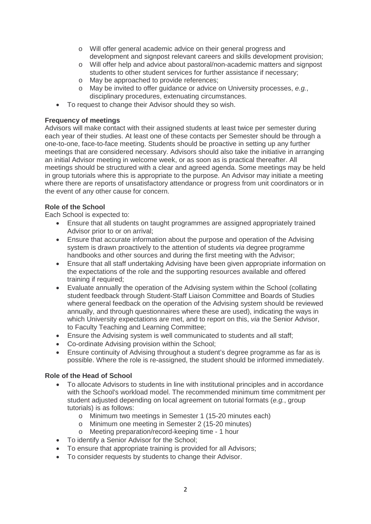- o Will offer general academic advice on their general progress and development and signpost relevant careers and skills development provision;
- o Will offer help and advice about pastoral/non-academic matters and signpost students to other student services for further assistance if necessary;
- o May be approached to provide references;
- o May be invited to offer guidance or advice on University processes, *e.g.*, disciplinary procedures, extenuating circumstances.
- To request to change their Advisor should they so wish.

# **Frequency of meetings**

Advisors will make contact with their assigned students at least twice per semester during each year of their studies. At least one of these contacts per Semester should be through a one-to-one, face-to-face meeting. Students should be proactive in setting up any further meetings that are considered necessary. Advisors should also take the initiative in arranging an initial Advisor meeting in welcome week, or as soon as is practical thereafter. All meetings should be structured with a clear and agreed agenda. Some meetings may be held in group tutorials where this is appropriate to the purpose. An Advisor may initiate a meeting where there are reports of unsatisfactory attendance or progress from unit coordinators or in the event of any other cause for concern.

# **Role of the School**

Each School is expected to:

- Ensure that all students on taught programmes are assigned appropriately trained Advisor prior to or on arrival;
- Ensure that accurate information about the purpose and operation of the Advising system is drawn proactively to the attention of students *via* degree programme handbooks and other sources and during the first meeting with the Advisor;
- Ensure that all staff undertaking Advising have been given appropriate information on the expectations of the role and the supporting resources available and offered training if required;
- Evaluate annually the operation of the Advising system within the School (collating student feedback through Student-Staff Liaison Committee and Boards of Studies where general feedback on the operation of the Advising system should be reviewed annually, and through questionnaires where these are used), indicating the ways in which University expectations are met, and to report on this, *via* the Senior Advisor, to Faculty Teaching and Learning Committee;
- Ensure the Advising system is well communicated to students and all staff;
- Co-ordinate Advising provision within the School;
- Ensure continuity of Advising throughout a student's degree programme as far as is possible. Where the role is re-assigned, the student should be informed immediately.

# **Role of the Head of School**

- To allocate Advisors to students in line with institutional principles and in accordance with the School's workload model. The recommended minimum time commitment per student adjusted depending on local agreement on tutorial formats (*e.g.*, group tutorials) is as follows:
	- o Minimum two meetings in Semester 1 (15-20 minutes each)
	- o Minimum one meeting in Semester 2 (15-20 minutes)
	- o Meeting preparation/record-keeping time 1 hour
- To identify a Senior Advisor for the School;
- To ensure that appropriate training is provided for all Advisors;
- To consider requests by students to change their Advisor.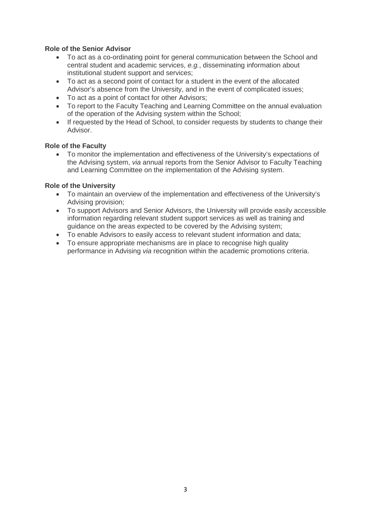# **Role of the Senior Advisor**

- To act as a co-ordinating point for general communication between the School and central student and academic services, *e.g.*, disseminating information about institutional student support and services;
- To act as a second point of contact for a student in the event of the allocated Advisor's absence from the University, and in the event of complicated issues;
- To act as a point of contact for other Advisors;
- To report to the Faculty Teaching and Learning Committee on the annual evaluation of the operation of the Advising system within the School;
- If requested by the Head of School, to consider requests by students to change their Advisor.

## **Role of the Faculty**

• To monitor the implementation and effectiveness of the University's expectations of the Advising system, *via* annual reports from the Senior Advisor to Faculty Teaching and Learning Committee on the implementation of the Advising system.

#### **Role of the University**

- To maintain an overview of the implementation and effectiveness of the University's Advising provision;
- To support Advisors and Senior Advisors, the University will provide easily accessible information regarding relevant student support services as well as training and guidance on the areas expected to be covered by the Advising system;
- To enable Advisors to easily access to relevant student information and data;
- To ensure appropriate mechanisms are in place to recognise high quality performance in Advising *via* recognition within the academic promotions criteria.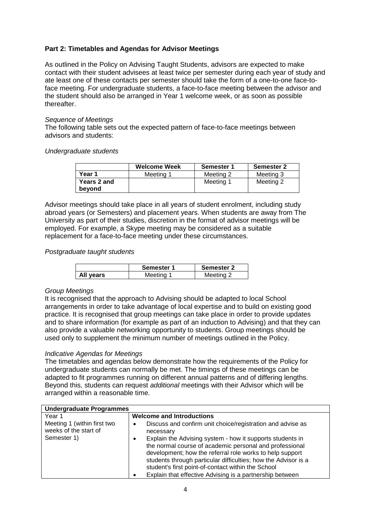# **Part 2: Timetables and Agendas for Advisor Meetings**

As outlined in the Policy on Advising Taught Students, advisors are expected to make contact with their student advisees at least twice per semester during each year of study and ate least one of these contacts per semester should take the form of a one-to-one face-toface meeting. For undergraduate students, a face-to-face meeting between the advisor and the student should also be arranged in Year 1 welcome week, or as soon as possible thereafter.

#### *Sequence of Meetings*

The following table sets out the expected pattern of face-to-face meetings between advisors and students:

#### *Undergraduate students*

|                       | <b>Welcome Week</b> | Semester 1 | <b>Semester 2</b> |
|-----------------------|---------------------|------------|-------------------|
| Year 1                | Meeting 1           | Meeting 2  | Meeting 3         |
| Years 2 and<br>bevond |                     | Meeting 1  | Meeting 2         |

Advisor meetings should take place in all years of student enrolment, including study abroad years (or Semesters) and placement years. When students are away from The University as part of their studies, discretion in the format of advisor meetings will be employed. For example, a Skype meeting may be considered as a suitable replacement for a face-to-face meeting under these circumstances.

#### *Postgraduate taught students*

|           | Semester 1 | <b>Semester 2</b> |
|-----------|------------|-------------------|
| All years | Meeting    | Meeting 2         |

## *Group Meetings*

It is recognised that the approach to Advising should be adapted to local School arrangements in order to take advantage of local expertise and to build on existing good practice. It is recognised that group meetings can take place in order to provide updates and to share information (for example as part of an induction to Advising) and that they can also provide a valuable networking opportunity to students. Group meetings should be used only to supplement the minimum number of meetings outlined in the Policy.

## *Indicative Agendas for Meetings*

The timetables and agendas below demonstrate how the requirements of the Policy for undergraduate students can normally be met. The timings of these meetings can be adapted to fit programmes running on different annual patterns and of differing lengths. Beyond this, students can request *additional* meetings with their Advisor which will be arranged within a reasonable time.

| <b>Undergraduate Programmes</b>                      |                                                                                                                                                                                                                                                                                                                                                                      |
|------------------------------------------------------|----------------------------------------------------------------------------------------------------------------------------------------------------------------------------------------------------------------------------------------------------------------------------------------------------------------------------------------------------------------------|
| Year 1                                               | <b>Welcome and Introductions</b>                                                                                                                                                                                                                                                                                                                                     |
| Meeting 1 (within first two<br>weeks of the start of | Discuss and confirm unit choice/registration and advise as<br>necessary                                                                                                                                                                                                                                                                                              |
| Semester 1)                                          | Explain the Advising system - how it supports students in<br>the normal course of academic personal and professional<br>development; how the referral role works to help support<br>students through particular difficulties; how the Advisor is a<br>student's first point-of-contact within the School<br>Explain that effective Advising is a partnership between |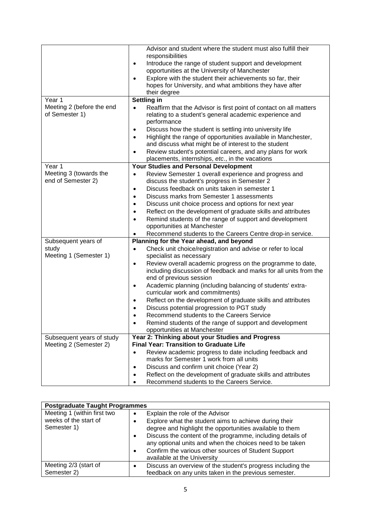|                           | Advisor and student where the student must also fulfill their                   |
|---------------------------|---------------------------------------------------------------------------------|
|                           | responsibilities                                                                |
|                           | Introduce the range of student support and development<br>$\bullet$             |
|                           | opportunities at the University of Manchester                                   |
|                           | Explore with the student their achievements so far, their<br>$\bullet$          |
|                           | hopes for University, and what ambitions they have after                        |
|                           | their degree                                                                    |
| Year 1                    | Settling in                                                                     |
| Meeting 2 (before the end | Reaffirm that the Advisor is first point of contact on all matters<br>$\bullet$ |
| of Semester 1)            | relating to a student's general academic experience and                         |
|                           | performance                                                                     |
|                           | Discuss how the student is settling into university life                        |
|                           | Highlight the range of opportunities available in Manchester,                   |
|                           | and discuss what might be of interest to the student                            |
|                           | Review student's potential careers, and any plans for work<br>$\bullet$         |
|                           | placements, internships, etc., in the vacations                                 |
| Year 1                    | Your Studies and Personal Development                                           |
| Meeting 3 (towards the    | Review Semester 1 overall experience and progress and                           |
| end of Semester 2)        | discuss the student's progress in Semester 2                                    |
|                           | Discuss feedback on units taken in semester 1<br>$\bullet$                      |
|                           | Discuss marks from Semester 1 assessments<br>$\bullet$                          |
|                           | Discuss unit choice process and options for next year                           |
|                           | Reflect on the development of graduate skills and attributes                    |
|                           | Remind students of the range of support and development                         |
|                           | opportunities at Manchester                                                     |
|                           | Recommend students to the Careers Centre drop-in service.                       |
| Subsequent years of       | Planning for the Year ahead, and beyond                                         |
| study                     | Check unit choice/registration and advise or refer to local<br>$\bullet$        |
| Meeting 1 (Semester 1)    | specialist as necessary                                                         |
|                           | Review overall academic progress on the programme to date,<br>$\bullet$         |
|                           | including discussion of feedback and marks for all units from the               |
|                           | end of previous session                                                         |
|                           | Academic planning (including balancing of students' extra-<br>٠                 |
|                           | curricular work and commitments)                                                |
|                           | Reflect on the development of graduate skills and attributes<br>$\bullet$       |
|                           | Discuss potential progression to PGT study                                      |
|                           | Recommend students to the Careers Service<br>$\bullet$                          |
|                           | Remind students of the range of support and development                         |
|                           | opportunities at Manchester                                                     |
| Subsequent years of study | Year 2: Thinking about your Studies and Progress                                |
| Meeting 2 (Semester 2)    | <b>Final Year: Transition to Graduate Life</b>                                  |
|                           | Review academic progress to date including feedback and<br>$\bullet$            |
|                           | marks for Semester 1 work from all units                                        |
|                           | Discuss and confirm unit choice (Year 2)<br>$\bullet$                           |
|                           | Reflect on the development of graduate skills and attributes<br>$\bullet$       |
|                           | Recommend students to the Careers Service.<br>$\bullet$                         |

| <b>Postgraduate Taught Programmes</b>                               |                                                                                                                                                                                                                                                                                                                                                                                                      |  |
|---------------------------------------------------------------------|------------------------------------------------------------------------------------------------------------------------------------------------------------------------------------------------------------------------------------------------------------------------------------------------------------------------------------------------------------------------------------------------------|--|
| Meeting 1 (within first two<br>weeks of the start of<br>Semester 1) | Explain the role of the Advisor<br>$\bullet$<br>Explore what the student aims to achieve during their<br>degree and highlight the opportunities available to them<br>Discuss the content of the programme, including details of<br>$\bullet$<br>any optional units and when the choices need to be taken<br>Confirm the various other sources of Student Support<br>٠<br>available at the University |  |
| Meeting 2/3 (start of<br>Semester 2)                                | Discuss an overview of the student's progress including the<br>feedback on any units taken in the previous semester.                                                                                                                                                                                                                                                                                 |  |